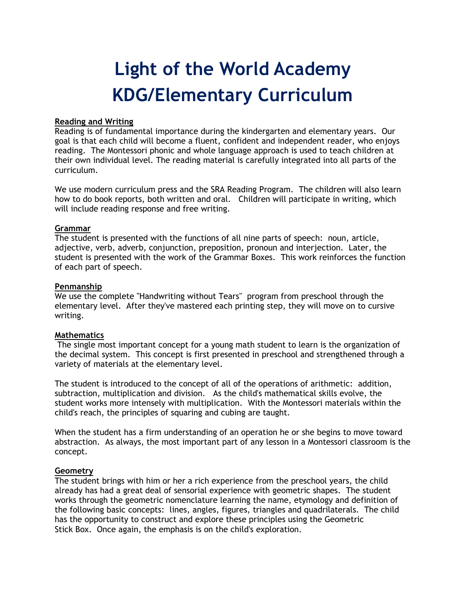# Light of the World Academy KDG/Elementary Curriculum

#### Reading and Writing

Reading is of fundamental importance during the kindergarten and elementary years. Our goal is that each child will become a fluent, confident and independent reader, who enjoys reading. The Montessori phonic and whole language approach is used to teach children at their own individual level. The reading material is carefully integrated into all parts of the curriculum.

We use modern curriculum press and the SRA Reading Program. The children will also learn how to do book reports, both written and oral. Children will participate in writing, which will include reading response and free writing.

## Grammar

The student is presented with the functions of all nine parts of speech: noun, article, adjective, verb, adverb, conjunction, preposition, pronoun and interjection. Later, the student is presented with the work of the Grammar Boxes. This work reinforces the function of each part of speech.

## Penmanship

We use the complete "Handwriting without Tears" program from preschool through the elementary level. After they've mastered each printing step, they will move on to cursive writing.

#### **Mathematics**

 The single most important concept for a young math student to learn is the organization of the decimal system. This concept is first presented in preschool and strengthened through a variety of materials at the elementary level.

The student is introduced to the concept of all of the operations of arithmetic: addition, subtraction, multiplication and division. As the child's mathematical skills evolve, the student works more intensely with multiplication. With the Montessori materials within the child's reach, the principles of squaring and cubing are taught.

When the student has a firm understanding of an operation he or she begins to move toward abstraction. As always, the most important part of any lesson in a Montessori classroom is the concept.

#### **Geometry**

The student brings with him or her a rich experience from the preschool years, the child already has had a great deal of sensorial experience with geometric shapes. The student works through the geometric nomenclature learning the name, etymology and definition of the following basic concepts: lines, angles, figures, triangles and quadrilaterals. The child has the opportunity to construct and explore these principles using the Geometric Stick Box. Once again, the emphasis is on the child's exploration.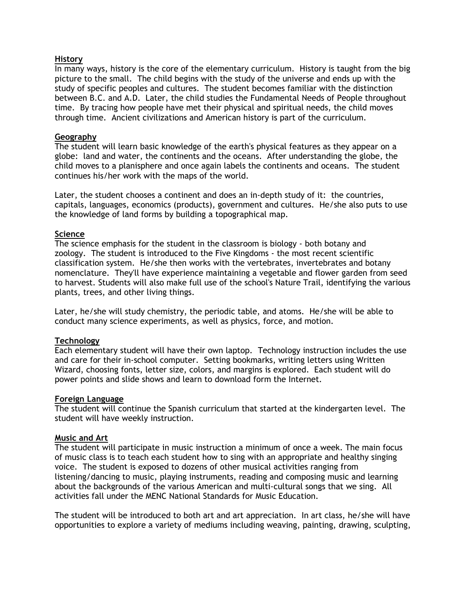## History

In many ways, history is the core of the elementary curriculum. History is taught from the big picture to the small. The child begins with the study of the universe and ends up with the study of specific peoples and cultures. The student becomes familiar with the distinction between B.C. and A.D. Later, the child studies the Fundamental Needs of People throughout time. By tracing how people have met their physical and spiritual needs, the child moves through time. Ancient civilizations and American history is part of the curriculum.

## Geography

The student will learn basic knowledge of the earth's physical features as they appear on a globe: land and water, the continents and the oceans. After understanding the globe, the child moves to a planisphere and once again labels the continents and oceans. The student continues his/her work with the maps of the world.

Later, the student chooses a continent and does an in-depth study of it: the countries, capitals, languages, economics (products), government and cultures. He/she also puts to use the knowledge of land forms by building a topographical map.

## Science

The science emphasis for the student in the classroom is biology - both botany and zoology. The student is introduced to the Five Kingdoms - the most recent scientific classification system. He/she then works with the vertebrates, invertebrates and botany nomenclature. They'll have experience maintaining a vegetable and flower garden from seed to harvest. Students will also make full use of the school's Nature Trail, identifying the various plants, trees, and other living things.

Later, he/she will study chemistry, the periodic table, and atoms. He/she will be able to conduct many science experiments, as well as physics, force, and motion.

# **Technology**

Each elementary student will have their own laptop. Technology instruction includes the use and care for their in-school computer. Setting bookmarks, writing letters using Written Wizard, choosing fonts, letter size, colors, and margins is explored. Each student will do power points and slide shows and learn to download form the Internet.

#### Foreign Language

The student will continue the Spanish curriculum that started at the kindergarten level. The student will have weekly instruction.

# Music and Art

The student will participate in music instruction a minimum of once a week. The main focus of music class is to teach each student how to sing with an appropriate and healthy singing voice. The student is exposed to dozens of other musical activities ranging from listening/dancing to music, playing instruments, reading and composing music and learning about the backgrounds of the various American and multi-cultural songs that we sing. All activities fall under the MENC National Standards for Music Education.

The student will be introduced to both art and art appreciation. In art class, he/she will have opportunities to explore a variety of mediums including weaving, painting, drawing, sculpting,